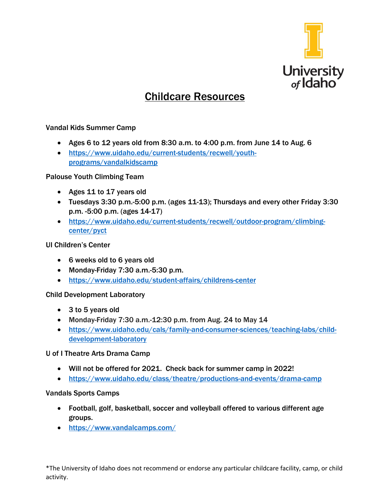

# Childcare Resources

## Vandal Kids Summer Camp

- Ages 6 to 12 years old from 8:30 a.m. to 4:00 p.m. from June 14 to Aug. 6
- [https://www.uidaho.edu/current-students/recwell/youth](https://www.uidaho.edu/current-students/recwell/youth-programs/vandalkidscamp)[programs/vandalkidscamp](https://www.uidaho.edu/current-students/recwell/youth-programs/vandalkidscamp)

## Palouse Youth Climbing Team

- Ages 11 to 17 years old
- Tuesdays 3:30 p.m.-5:00 p.m. (ages 11-13); Thursdays and every other Friday 3:30 p.m. -5:00 p.m. (ages 14-17)
- [https://www.uidaho.edu/current-students/recwell/outdoor-program/climbing](https://www.uidaho.edu/current-students/recwell/outdoor-program/climbing-center/pyct)[center/pyct](https://www.uidaho.edu/current-students/recwell/outdoor-program/climbing-center/pyct)

## UI Children's Center

- 6 weeks old to 6 years old
- Monday-Friday 7:30 a.m.-5:30 p.m.
- <https://www.uidaho.edu/student-affairs/childrens-center>

## Child Development Laboratory

- 3 to 5 years old
- Monday-Friday 7:30 a.m.-12:30 p.m. from Aug. 24 to May 14
- [https://www.uidaho.edu/cals/family-and-consumer-sciences/teaching-labs/child](https://www.uidaho.edu/cals/family-and-consumer-sciences/teaching-labs/child-development-laboratory)[development-laboratory](https://www.uidaho.edu/cals/family-and-consumer-sciences/teaching-labs/child-development-laboratory)

## U of I Theatre Arts Drama Camp

- Will not be offered for 2021. Check back for summer camp in 2022!
- <https://www.uidaho.edu/class/theatre/productions-and-events/drama-camp>

#### Vandals Sports Camps

- Football, golf, basketball, soccer and volleyball offered to various different age groups.
- <https://www.vandalcamps.com/>

\*The University of Idaho does not recommend or endorse any particular childcare facility, camp, or child activity.